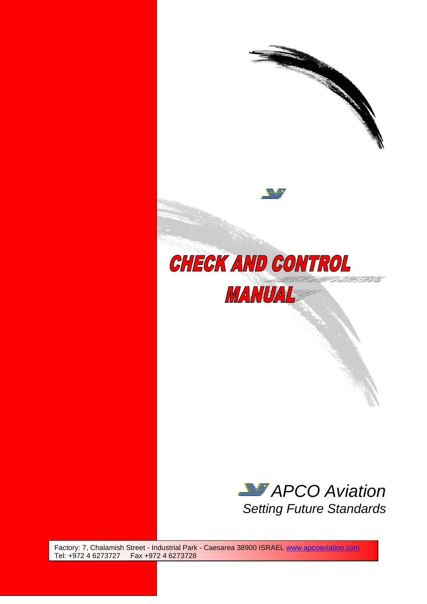

*Setting Future Standards* 

Factory: 7, Chalamish Street - Industrial Park - Caesarea 38900 ISRAEL [www.apcoaviation.com](http://www.apcoaviation.com/) Tel: +972 4 6273727 Fax +972 4 6273728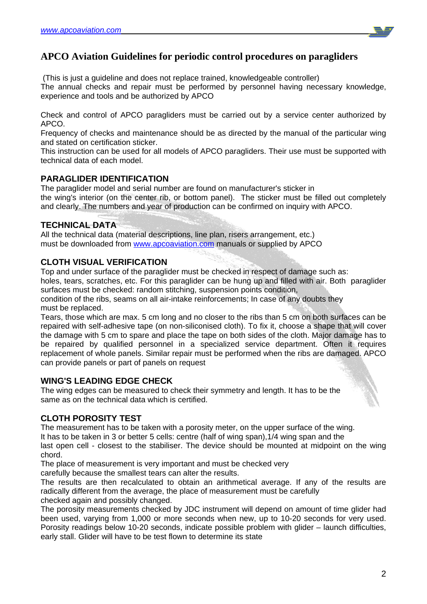

# **APCO Aviation Guidelines for periodic control procedures on paragliders**

(This is just a guideline and does not replace trained, knowledgeable controller)

The annual checks and repair must be performed by personnel having necessary knowledge, experience and tools and be authorized by APCO

Check and control of APCO paragliders must be carried out by a service center authorized by APCO.

Frequency of checks and maintenance should be as directed by the manual of the particular wing and stated on certification sticker.

This instruction can be used for all models of APCO paragliders. Their use must be supported with technical data of each model.

#### **PARAGLIDER IDENTIFICATION**

The paraglider model and serial number are found on manufacturer's sticker in the wing's interior (on the center rib, or bottom panel). The sticker must be filled out completely and clearly. The numbers and year of production can be confirmed on inquiry with APCO.

### **TECHNICAL DATA**

All the technical data (material descriptions, line plan, risers arrangement, etc.) must be downloaded from [www.apcoaviation.com](http://www.apcoaviation.com/) manuals or supplied by APCO

### **CLOTH VISUAL VERIFICATION**

Top and under surface of the paraglider must be checked in respect of damage such as:

holes, tears, scratches, etc. For this paraglider can be hung up and filled with air. Both paraglider surfaces must be checked: random stitching, suspension points condition,

condition of the ribs, seams on all air-intake reinforcements; In case of any doubts they must be replaced.

Tears, those which are max. 5 cm long and no closer to the ribs than 5 cm on both surfaces can be repaired with self-adhesive tape (on non-siliconised cloth). To fix it, choose a shape that will cover the damage with 5 cm to spare and place the tape on both sides of the cloth. Major damage has to be repaired by qualified personnel in a specialized service department. Often it requires replacement of whole panels. Similar repair must be performed when the ribs are damaged. APCO can provide panels or part of panels on request

### **WING'S LEADING EDGE CHECK**

The wing edges can be measured to check their symmetry and length. It has to be the same as on the technical data which is certified.

### **CLOTH POROSITY TEST**

The measurement has to be taken with a porosity meter, on the upper surface of the wing. It has to be taken in 3 or better 5 cells: centre (half of wing span),1/4 wing span and the last open cell - closest to the stabiliser. The device should be mounted at midpoint on the wing chord.

The place of measurement is very important and must be checked very carefully because the smallest tears can alter the results.

The results are then recalculated to obtain an arithmetical average. If any of the results are radically different from the average, the place of measurement must be carefully

checked again and possibly changed.

The porosity measurements checked by JDC instrument will depend on amount of time glider had been used, varying from 1,000 or more seconds when new, up to 10-20 seconds for very used. Porosity readings below 10-20 seconds, indicate possible problem with glider – launch difficulties, early stall. Glider will have to be test flown to determine its state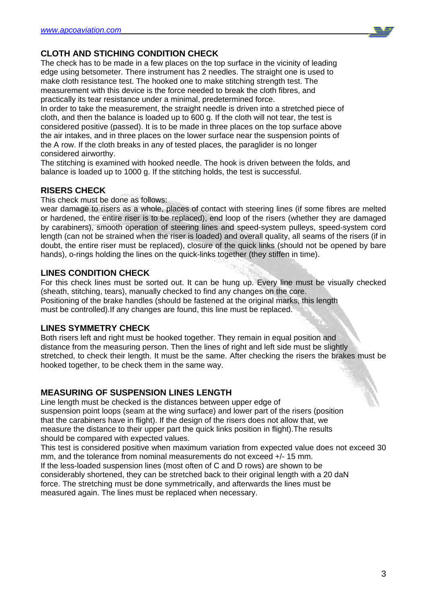

# **CLOTH AND STICHING CONDITION CHECK**

The check has to be made in a few places on the top surface in the vicinity of leading edge using betsometer. There instrument has 2 needles. The straight one is used to make cloth resistance test. The hooked one to make stitching strength test. The measurement with this device is the force needed to break the cloth fibres, and practically its tear resistance under a minimal, predetermined force.

In order to take the measurement, the straight needle is driven into a stretched piece of cloth, and then the balance is loaded up to 600 g. If the cloth will not tear, the test is considered positive (passed). It is to be made in three places on the top surface above the air intakes, and in three places on the lower surface near the suspension points of the A row. If the cloth breaks in any of tested places, the paraglider is no longer considered airworthy.

The stitching is examined with hooked needle. The hook is driven between the folds, and balance is loaded up to 1000 g. If the stitching holds, the test is successful.

### **RISERS CHECK**

This check must be done as follows:

wear damage to risers as a whole, places of contact with steering lines (if some fibres are melted or hardened, the entire riser is to be replaced), end loop of the risers (whether they are damaged by carabiners), smooth operation of steering lines and speed-system pulleys, speed-system cord length (can not be strained when the riser is loaded) and overall quality, all seams of the risers (if in doubt, the entire riser must be replaced), closure of the quick links (should not be opened by bare hands), o-rings holding the lines on the quick-links together (they stiffen in time).

### **LINES CONDITION CHECK**

For this check lines must be sorted out. It can be hung up. Every line must be visually checked (sheath, stitching, tears), manually checked to find any changes on the core. Positioning of the brake handles (should be fastened at the original marks, this length must be controlled).If any changes are found, this line must be replaced.

#### **LINES SYMMETRY CHECK**

Both risers left and right must be hooked together. They remain in equal position and distance from the measuring person. Then the lines of right and left side must be slightly stretched, to check their length. It must be the same. After checking the risers the brakes must be hooked together, to be check them in the same way.

## **MEASURING OF SUSPENSION LINES LENGTH**

Line length must be checked is the distances between upper edge of suspension point loops (seam at the wing surface) and lower part of the risers (position that the carabiners have in flight). If the design of the risers does not allow that, we measure the distance to their upper part the quick links position in flight).The results should be compared with expected values.

This test is considered positive when maximum variation from expected value does not exceed 30 mm, and the tolerance from nominal measurements do not exceed +/- 15 mm. If the less-loaded suspension lines (most often of C and D rows) are shown to be considerably shortened, they can be stretched back to their original length with a 20 daN force. The stretching must be done symmetrically, and afterwards the lines must be measured again. The lines must be replaced when necessary.